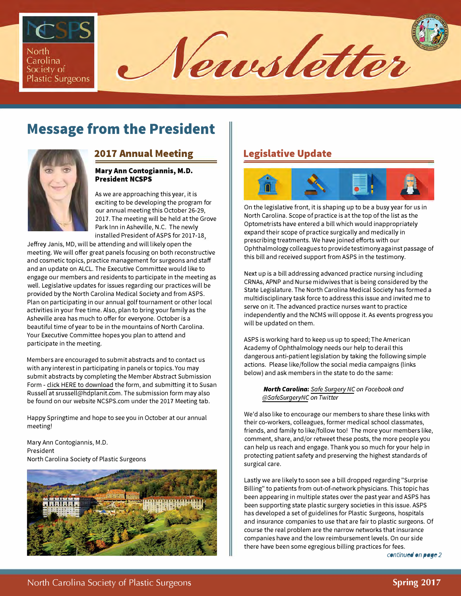

# **Message from the President**



## **2017 Annual Meeting**

**Mary Ann Contogiannis, M.D. President NCSPS** 

As we are approaching this year, it is exciting to be developing the program for our annual meeting this October 26-29, 2017. The meeting will be held at the Grove Park Inn in Asheville, N.C. The newly installed President of ASPS for 2017-18

Jeffrey Janis, MD, will be attending and will likely open the meeting. We will offer great panels focusing on both reconstructive and cosmetic topics, practice management for surgeons and staff and an update on ALCL. The Executive Committee would like to engage our members and residents to participate in the meeting as well. Legislative updates for issues regarding our practices will be provided by the North Carolina Medical Society and from ASPS. Plan on participating in our annual golf tournament or other local activities in your free time. Also, plan to bring your family as the Asheville area has much to offer for everyone. October is a beautiful time of year to be in the mountains of North Carolina. Your Executive Committee hopes you plan to attend and participate in the meeting.

Members are encouraged to submit abstracts and to contact us with any interest in participating in panels or topics. You may submit abstracts by completing the Member Abstract Submission Form - [click HERE to download](http://media.wix.com/ugd/32a6a2_3fc9a9c6a3e14459906adcf2ac22ca7c.pdf) the form, and submitting it to Susan Russell at srussell@hdplanit.com. The submission form may also be found on our website NCSPS.com under the 2017 Meeting tab.

Happy Springtime and hope to see you in October at our annual meeting!

Mary Ann Contogiannis, M.D. President North Carolina Society of Plastic Surgeons



## **Legislative Update**



On the legislative front, it is shaping up to be a busy year for us in North Carolina. Scope of practice is at the top of the list as the Optometrists have entered a bill which would inappropriately expand their scope of practice surgically and medically in prescribing treatments. We have joined efforts with our Ophthalmology colleagues to provide testimony against passage of this bill and received support from ASPS in the testimony.

Next up is a bill addressing advanced practice nursing including CRNAs, APNP and Nurse midwives that is being considered by the State Legislature. The North Carolina Medical Society has formed a multidisciplinary task force to address this issue and invited me to serve on it. The advanced practice nurses want to practice independently and the NCMS will oppose it. As events progress you will be updated on them.

ASPS is working hard to keep us up to speed; The American Academy of Ophthalmology needs our help to derail this dangerous anti-patient legislation by taking the following simple actions. Please like/follow the social media campaigns (links below) and ask members in the state to do the same:

*North Carolina: [Safe Surgery NC](https://www.facebook.com/SafeSurgeryNC) on Facebook and [@SafeSurgeryNC](https://twitter.com/safesurgerync) on Twitter* 

We'd also like to encourage our members to share these links with their co-workers, colleagues, former medical school classmates friends, and family to like/follow too! The more your members like, comment, share, and/or retweet these posts, the more people you can help us reach and engage. Thank you so much for your help in protecting patient safety and preserving the highest standards of surgical care.

Lastly we are likely to soon see a bill dropped regarding "Surprise Billing" to patients from out-of-network physicians. This topic has been appearing in multiple states over the past year and ASPS has been supporting state plastic surgery societies in this issue. ASPS has developed a set of guidelines for Plastic Surgeons, hospitals and insurance companies to use that are fair to plastic surgeons. Of course the real problem are the narrow networks that insurance companies have and the low reimbursement levels. On our side there have been some egregious billing practices for fees.

*continued on page 2*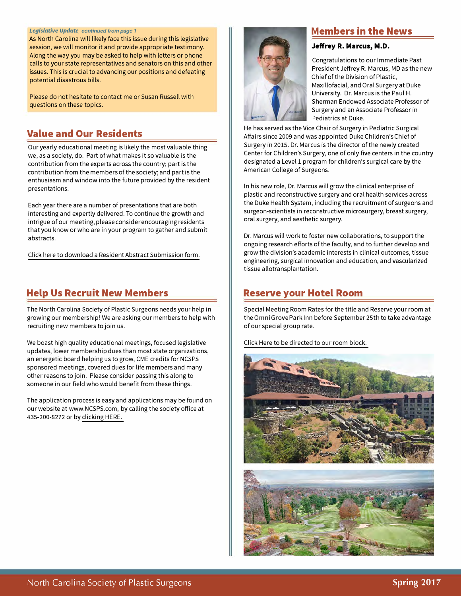#### *Legislative Update, continued from page 1*

As North Carolina will likely face this issue during this legislative session, we will monitor it and provide appropriate testimony. Along the way you may be asked to help with letters or phone calls to your state representatives and senators on this and other issues. This is crucial to advancing our positions and defeating potential disastrous bills.

Please do not hesitate to contact me or Susan Russell with questions on these topics.

## **Value and Our Residents**

Our yearly educational meeting is likely the most valuable thing we, as a society, do. Part of what makes it so valuable is the contribution from the experts across the country; part is the contribution from the members of the society; and part is the enthusiasm and window into the future provided by the resident presentations.

Each year there are a number of presentations that are both interesting and expertly delivered. To continue the growth and intrigue of our meeting, please consider encouraging residents that you know or who are in your program to gather and submit abstracts.

[Click here to download a Resident Abstract Submission form.](http://media.wix.com/ugd/32a6a2_3928cd65bcb94f4da394fc5c266ab81a.pdf)

## **Help Us Recruit New Members**

The North Carolina Society of Plastic Surgeons needs your help in growing our membership! We are asking our members to help with recruiting new members to join us.

We boast high quality educational meetings, focused legislative updates, lower membership dues than most state organizations, an energetic board helping us to grow, CME credits for NCSPS sponsored meetings, covered dues for life members and many other reasons to join. Please consider passing this along to someone in our field who would benefit from these things.

The application process is easy and applications may be found on our website at www.NCSPS.com, by calling the society office at 435-200-8272 or by [clicking HERE.](http://media.wix.com/ugd/32a6a2_8a19a472f49f42229533151b84f751e7.pdf) 



### **Members in the News**

#### **Jeffrey R. Marcus, M.D.**

Congratulations to our Immediate Past President Jeffrey R. Marcus, MD as the new Chief of the Division of Plastic, Maxillofacial, and Oral Surgery at Duke University. Dr. Marcus is the Paul H. Sherman Endowed Associate Professor of Surgery and an Associate Professor in )ediatrics at Duke.

He has served as the Vice Chair of Surgery in Pediatric Surgical Affairs since 2009 and was appointed Duke Children's Chief of Surgery in 2015. Dr. Marcus is the director of the newly created Center for Children's Surgery, one of only five centers in the country designated a Level 1 program for children's surgical care by the American College of Surgeons.

In his new role, Dr. Marcus will grow the clinical enterprise of plastic and reconstructive surgery and oral health services across the Duke Health System, including the recruitment of surgeons and surgeon-scientists in reconstructive microsurgery, breast surgery, oral surgery, and aesthetic surgery.

Dr. Marcus will work to foster new collaborations, to support the ongoing research efforts of the faculty, and to further develop and grow the division's academic interests in clinical outcomes, tissue engineering, surgical innovation and education, and vascularized tissue allotransplantation.

### **Reserve your Hotel Room**

Special Meeting Room Rates for the title and Reserve your room at the Omni Grove Park Inn before September 25th to take advantage of our special group rate.

[Click Here to be directed to our room block.](https://www.omnihotels.com/hotels/asheville-grove-park/meetings/nc-society-of-plastic-surgeons)